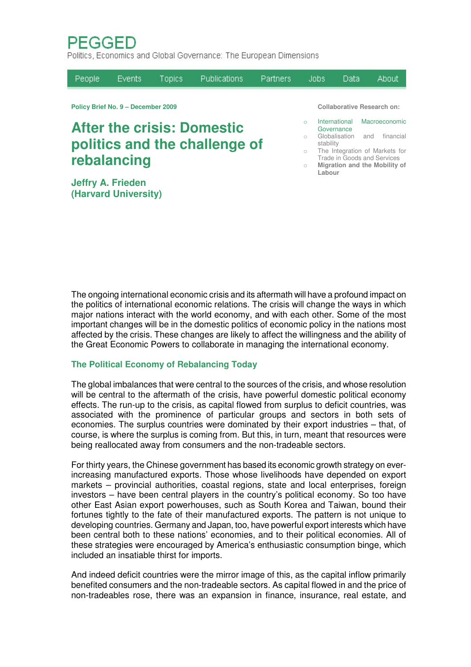PFGGFD

Politics, Economics and Global Governance: The European Dimensions

| People                                                             | Events | <b>Topics</b> | <b>Publications</b> | Partners   |                                                                        | Jobs:                                                                                           | Data |  | About                      |
|--------------------------------------------------------------------|--------|---------------|---------------------|------------|------------------------------------------------------------------------|-------------------------------------------------------------------------------------------------|------|--|----------------------------|
| Policy Brief No. 9 - December 2009                                 |        |               |                     |            |                                                                        | <b>Collaborative Research on:</b>                                                               |      |  |                            |
| <b>After the crisis: Domestic</b><br>politics and the challenge of |        |               |                     |            | $\bigcap$<br>$\cap$<br>$\bigcirc$                                      | International<br>Governance<br>Globalisation and<br>stability<br>The Integration of Markets for |      |  | Macroeconomic<br>financial |
| rebalancing                                                        |        |               |                     | $\bigcirc$ | Trade in Goods and Services<br>Migration and the Mobility of<br>Labour |                                                                                                 |      |  |                            |

**Jeffry A. Frieden (Harvard University)**

- 
- 

The ongoing international economic crisis and its aftermath will have a profound impact on the politics of international economic relations. The crisis will change the ways in which major nations interact with the world economy, and with each other. Some of the most important changes will be in the domestic politics of economic policy in the nations most affected by the crisis. These changes are likely to affect the willingness and the ability of the Great Economic Powers to collaborate in managing the international economy.

## **The Political Economy of Rebalancing Today**

The global imbalances that were central to the sources of the crisis, and whose resolution will be central to the aftermath of the crisis, have powerful domestic political economy effects. The run-up to the crisis, as capital flowed from surplus to deficit countries, was associated with the prominence of particular groups and sectors in both sets of economies. The surplus countries were dominated by their export industries – that, of course, is where the surplus is coming from. But this, in turn, meant that resources were being reallocated away from consumers and the non-tradeable sectors.

For thirty years, the Chinese government has based its economic growth strategy on everincreasing manufactured exports. Those whose livelihoods have depended on export markets – provincial authorities, coastal regions, state and local enterprises, foreign investors – have been central players in the country's political economy. So too have other East Asian export powerhouses, such as South Korea and Taiwan, bound their fortunes tightly to the fate of their manufactured exports. The pattern is not unique to developing countries. Germany and Japan, too, have powerful export interests which have been central both to these nations' economies, and to their political economies. All of these strategies were encouraged by America's enthusiastic consumption binge, which included an insatiable thirst for imports.

And indeed deficit countries were the mirror image of this, as the capital inflow primarily benefited consumers and the non-tradeable sectors. As capital flowed in and the price of non-tradeables rose, there was an expansion in finance, insurance, real estate, and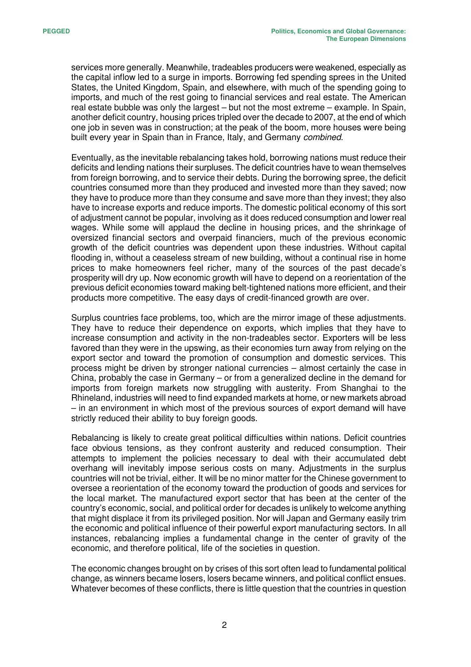services more generally. Meanwhile, tradeables producers were weakened, especially as the capital inflow led to a surge in imports. Borrowing fed spending sprees in the United States, the United Kingdom, Spain, and elsewhere, with much of the spending going to imports, and much of the rest going to financial services and real estate. The American real estate bubble was only the largest – but not the most extreme – example. In Spain, another deficit country, housing prices tripled over the decade to 2007, at the end of which one job in seven was in construction; at the peak of the boom, more houses were being built every year in Spain than in France, Italy, and Germany *combined*.

Eventually, as the inevitable rebalancing takes hold, borrowing nations must reduce their deficits and lending nations their surpluses. The deficit countries have to wean themselves from foreign borrowing, and to service their debts. During the borrowing spree, the deficit countries consumed more than they produced and invested more than they saved; now they have to produce more than they consume and save more than they invest; they also have to increase exports and reduce imports. The domestic political economy of this sort of adjustment cannot be popular, involving as it does reduced consumption and lower real wages. While some will applaud the decline in housing prices, and the shrinkage of oversized financial sectors and overpaid financiers, much of the previous economic growth of the deficit countries was dependent upon these industries. Without capital flooding in, without a ceaseless stream of new building, without a continual rise in home prices to make homeowners feel richer, many of the sources of the past decade's prosperity will dry up. Now economic growth will have to depend on a reorientation of the previous deficit economies toward making belt-tightened nations more efficient, and their products more competitive. The easy days of credit-financed growth are over.

Surplus countries face problems, too, which are the mirror image of these adjustments. They have to reduce their dependence on exports, which implies that they have to increase consumption and activity in the non-tradeables sector. Exporters will be less favored than they were in the upswing, as their economies turn away from relying on the export sector and toward the promotion of consumption and domestic services. This process might be driven by stronger national currencies – almost certainly the case in China, probably the case in Germany – or from a generalized decline in the demand for imports from foreign markets now struggling with austerity. From Shanghai to the Rhineland, industries will need to find expanded markets at home, or new markets abroad – in an environment in which most of the previous sources of export demand will have strictly reduced their ability to buy foreign goods.

Rebalancing is likely to create great political difficulties within nations. Deficit countries face obvious tensions, as they confront austerity and reduced consumption. Their attempts to implement the policies necessary to deal with their accumulated debt overhang will inevitably impose serious costs on many. Adjustments in the surplus countries will not be trivial, either. It will be no minor matter for the Chinese government to oversee a reorientation of the economy toward the production of goods and services for the local market. The manufactured export sector that has been at the center of the country's economic, social, and political order for decades is unlikely to welcome anything that might displace it from its privileged position. Nor will Japan and Germany easily trim the economic and political influence of their powerful export manufacturing sectors. In all instances, rebalancing implies a fundamental change in the center of gravity of the economic, and therefore political, life of the societies in question.

The economic changes brought on by crises of this sort often lead to fundamental political change, as winners became losers, losers became winners, and political conflict ensues. Whatever becomes of these conflicts, there is little question that the countries in question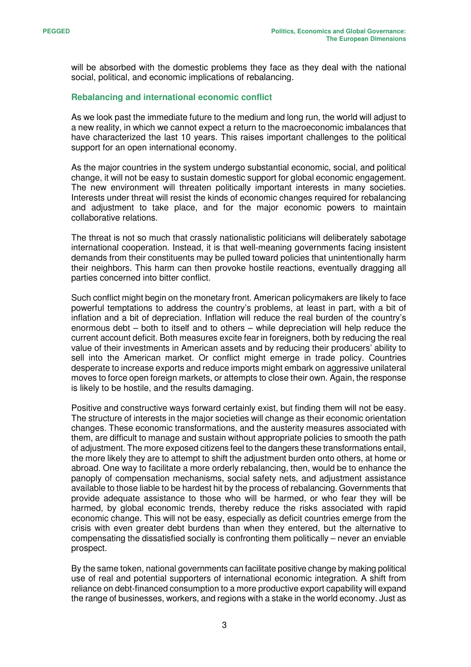will be absorbed with the domestic problems they face as they deal with the national social, political, and economic implications of rebalancing.

## **Rebalancing and international economic conflict**

As we look past the immediate future to the medium and long run, the world will adjust to a new reality, in which we cannot expect a return to the macroeconomic imbalances that have characterized the last 10 years. This raises important challenges to the political support for an open international economy.

As the major countries in the system undergo substantial economic, social, and political change, it will not be easy to sustain domestic support for global economic engagement. The new environment will threaten politically important interests in many societies. Interests under threat will resist the kinds of economic changes required for rebalancing and adjustment to take place, and for the major economic powers to maintain collaborative relations.

The threat is not so much that crassly nationalistic politicians will deliberately sabotage international cooperation. Instead, it is that well-meaning governments facing insistent demands from their constituents may be pulled toward policies that unintentionally harm their neighbors. This harm can then provoke hostile reactions, eventually dragging all parties concerned into bitter conflict.

Such conflict might begin on the monetary front. American policymakers are likely to face powerful temptations to address the country's problems, at least in part, with a bit of inflation and a bit of depreciation. Inflation will reduce the real burden of the country's enormous debt – both to itself and to others – while depreciation will help reduce the current account deficit. Both measures excite fear in foreigners, both by reducing the real value of their investments in American assets and by reducing their producers' ability to sell into the American market. Or conflict might emerge in trade policy. Countries desperate to increase exports and reduce imports might embark on aggressive unilateral moves to force open foreign markets, or attempts to close their own. Again, the response is likely to be hostile, and the results damaging.

Positive and constructive ways forward certainly exist, but finding them will not be easy. The structure of interests in the major societies will change as their economic orientation changes. These economic transformations, and the austerity measures associated with them, are difficult to manage and sustain without appropriate policies to smooth the path of adjustment. The more exposed citizens feel to the dangers these transformations entail, the more likely they are to attempt to shift the adjustment burden onto others, at home or abroad. One way to facilitate a more orderly rebalancing, then, would be to enhance the panoply of compensation mechanisms, social safety nets, and adjustment assistance available to those liable to be hardest hit by the process of rebalancing. Governments that provide adequate assistance to those who will be harmed, or who fear they will be harmed, by global economic trends, thereby reduce the risks associated with rapid economic change. This will not be easy, especially as deficit countries emerge from the crisis with even greater debt burdens than when they entered, but the alternative to compensating the dissatisfied socially is confronting them politically – never an enviable prospect.

By the same token, national governments can facilitate positive change by making political use of real and potential supporters of international economic integration. A shift from reliance on debt-financed consumption to a more productive export capability will expand the range of businesses, workers, and regions with a stake in the world economy. Just as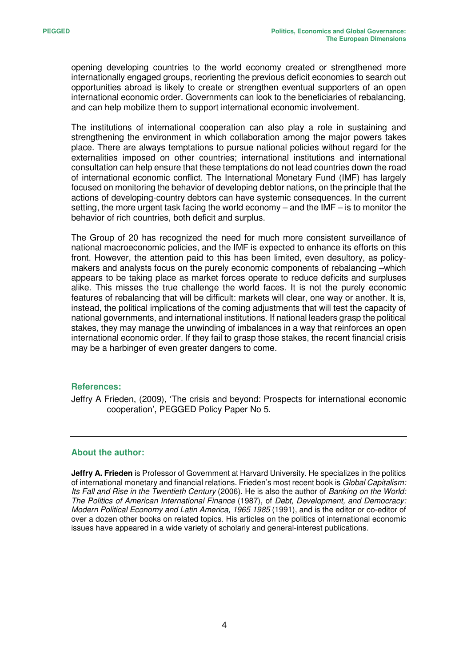opening developing countries to the world economy created or strengthened more internationally engaged groups, reorienting the previous deficit economies to search out opportunities abroad is likely to create or strengthen eventual supporters of an open international economic order. Governments can look to the beneficiaries of rebalancing, and can help mobilize them to support international economic involvement.

The institutions of international cooperation can also play a role in sustaining and strengthening the environment in which collaboration among the major powers takes place. There are always temptations to pursue national policies without regard for the externalities imposed on other countries; international institutions and international consultation can help ensure that these temptations do not lead countries down the road of international economic conflict. The International Monetary Fund (IMF) has largely focused on monitoring the behavior of developing debtor nations, on the principle that the actions of developing-country debtors can have systemic consequences. In the current setting, the more urgent task facing the world economy – and the IMF – is to monitor the behavior of rich countries, both deficit and surplus.

The Group of 20 has recognized the need for much more consistent surveillance of national macroeconomic policies, and the IMF is expected to enhance its efforts on this front. However, the attention paid to this has been limited, even desultory, as policymakers and analysts focus on the purely economic components of rebalancing –which appears to be taking place as market forces operate to reduce deficits and surpluses alike. This misses the true challenge the world faces. It is not the purely economic features of rebalancing that will be difficult: markets will clear, one way or another. It is, instead, the political implications of the coming adjustments that will test the capacity of national governments, and international institutions. If national leaders grasp the political stakes, they may manage the unwinding of imbalances in a way that reinforces an open international economic order. If they fail to grasp those stakes, the recent financial crisis may be a harbinger of even greater dangers to come.

## **References:**

Jeffry A Frieden, (2009), 'The crisis and beyond: Prospects for international economic cooperation', PEGGED Policy Paper No 5.

## **About the author:**

**Jeffry A. Frieden** is Professor of Government at Harvard University. He specializes in the politics of international monetary and financial relations. Frieden's most recent book is *Global Capitalism: Its Fall and Rise in the Twentieth Century* (2006). He is also the author of *Banking on the World: The Politics of American International Finance* (1987), of *Debt, Development, and Democracy: Modern Political Economy and Latin America, 1965 1985* (1991), and is the editor or co-editor of over a dozen other books on related topics. His articles on the politics of international economic issues have appeared in a wide variety of scholarly and general-interest publications.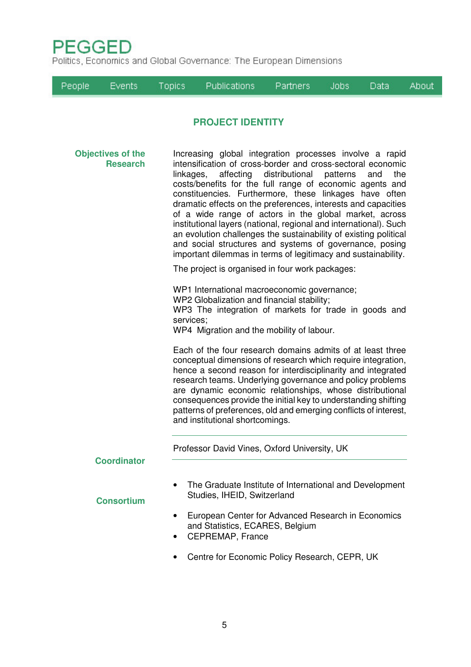

Politics, Economics and Global Governance: The European Dimensions

|                                             | People | <b>Events</b>      | <b>Topics</b>                                                                                                                                                                                                                                                                                                                                                                                                                                                                                                                                                                                                                                                                                                                                                         | <b>Publications</b>                                                                                                                                                                                                                                         | <b>Partners</b> | Jobs: | Data | About |  |
|---------------------------------------------|--------|--------------------|-----------------------------------------------------------------------------------------------------------------------------------------------------------------------------------------------------------------------------------------------------------------------------------------------------------------------------------------------------------------------------------------------------------------------------------------------------------------------------------------------------------------------------------------------------------------------------------------------------------------------------------------------------------------------------------------------------------------------------------------------------------------------|-------------------------------------------------------------------------------------------------------------------------------------------------------------------------------------------------------------------------------------------------------------|-----------------|-------|------|-------|--|
|                                             |        |                    |                                                                                                                                                                                                                                                                                                                                                                                                                                                                                                                                                                                                                                                                                                                                                                       | <b>PROJECT IDENTITY</b>                                                                                                                                                                                                                                     |                 |       |      |       |  |
| <b>Objectives of the</b><br><b>Research</b> |        |                    | Increasing global integration processes involve a rapid<br>intensification of cross-border and cross-sectoral economic<br>affecting<br>distributional<br>linkages,<br>patterns<br>the<br>and<br>costs/benefits for the full range of economic agents and<br>constituencies. Furthermore, these linkages have often<br>dramatic effects on the preferences, interests and capacities<br>of a wide range of actors in the global market, across<br>institutional layers (national, regional and international). Such<br>an evolution challenges the sustainability of existing political<br>and social structures and systems of governance, posing<br>important dilemmas in terms of legitimacy and sustainability.<br>The project is organised in four work packages: |                                                                                                                                                                                                                                                             |                 |       |      |       |  |
|                                             |        |                    |                                                                                                                                                                                                                                                                                                                                                                                                                                                                                                                                                                                                                                                                                                                                                                       | WP1 International macroeconomic governance;<br>WP2 Globalization and financial stability;<br>WP3 The integration of markets for trade in goods and<br>services;<br>WP4 Migration and the mobility of labour.                                                |                 |       |      |       |  |
|                                             |        |                    | Each of the four research domains admits of at least three<br>conceptual dimensions of research which require integration,<br>hence a second reason for interdisciplinarity and integrated<br>research teams. Underlying governance and policy problems<br>are dynamic economic relationships, whose distributional<br>consequences provide the initial key to understanding shifting<br>patterns of preferences, old and emerging conflicts of interest,<br>and institutional shortcomings.                                                                                                                                                                                                                                                                          |                                                                                                                                                                                                                                                             |                 |       |      |       |  |
|                                             |        | <b>Coordinator</b> |                                                                                                                                                                                                                                                                                                                                                                                                                                                                                                                                                                                                                                                                                                                                                                       | Professor David Vines, Oxford University, UK                                                                                                                                                                                                                |                 |       |      |       |  |
|                                             |        | <b>Consortium</b>  | ٠                                                                                                                                                                                                                                                                                                                                                                                                                                                                                                                                                                                                                                                                                                                                                                     | The Graduate Institute of International and Development<br>Studies, IHEID, Switzerland<br>European Center for Advanced Research in Economics<br>and Statistics, ECARES, Belgium<br><b>CEPREMAP, France</b><br>Centre for Economic Policy Research, CEPR, UK |                 |       |      |       |  |